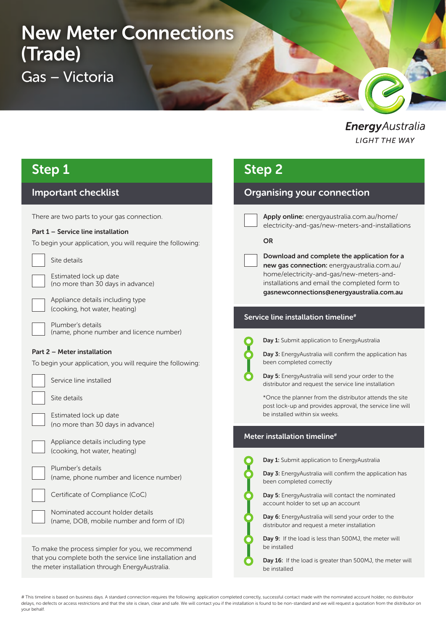# New Meter Connections (Trade) Gas – Victoria

EnergyAustralia **LIGHT THE WAY** 

### Step 1

### Important checklist

There are two parts to your gas connection.

#### Part 1 – Service line installation

To begin your application, you will require the following:

Site details

Estimated lock up date (no more than 30 days in advance)

Appliance details including type (cooking, hot water, heating)

Plumber's details (name, phone number and licence number)

#### Part 2 – Meter installation

To begin your application, you will require the following:

Service line installed

Site details

Estimated lock up date (no more than 30 days in advance)

Appliance details including type (cooking, hot water, heating)

| Plumber's details                       |
|-----------------------------------------|
| (name, phone number and licence number) |

| Certificate of Compliance (CoC) |  |  |
|---------------------------------|--|--|
|                                 |  |  |
|                                 |  |  |

Nominated account holder details (name, DOB, mobile number and form of ID)

To make the process simpler for you, we recommend that you complete both the service line installation and the meter installation through EnergyAustralia.

### Step 2

### Organising your connection

Apply online: energyaustralia.com.au/home/ electricity-and-gas/new-meters-and-installations

#### OR

Download and complete the application for a new gas connection: energyaustralia.com.au/ home/electricity-and-gas/new-meters-andinstallations and email the completed form to gasnewconnections@energyaustralia.com.au

#### Service line installation timeline<sup>#</sup>



Day 1: Submit application to EnergyAustralia



Day 5: EnergyAustralia will send your order to the distributor and request the service line installation

\*Once the planner from the distributor attends the site post lock-up and provides approval, the service line will be installed within six weeks.

#### Meter installation timeline#



Day 1: Submit application to EnergyAustralia

Day 3: EnergyAustralia will confirm the application has been completed correctly

Day 5: EnergyAustralia will contact the nominated account holder to set up an account

Day 6: EnergyAustralia will send your order to the distributor and request a meter installation

Day 9: If the load is less than 500MJ, the meter will be installed

Day 16: If the load is greater than 500MJ, the meter will be installed

# This timeline is based on business days. A standard connection requires the following: application completed correctly, successful contact made with the nominated account holder, no distributor delays, no defects or access restrictions and that the site is clean, clear and safe. We will contact you if the installation is found to be non-standard and we will request a quotation from the distributor on your behalf.